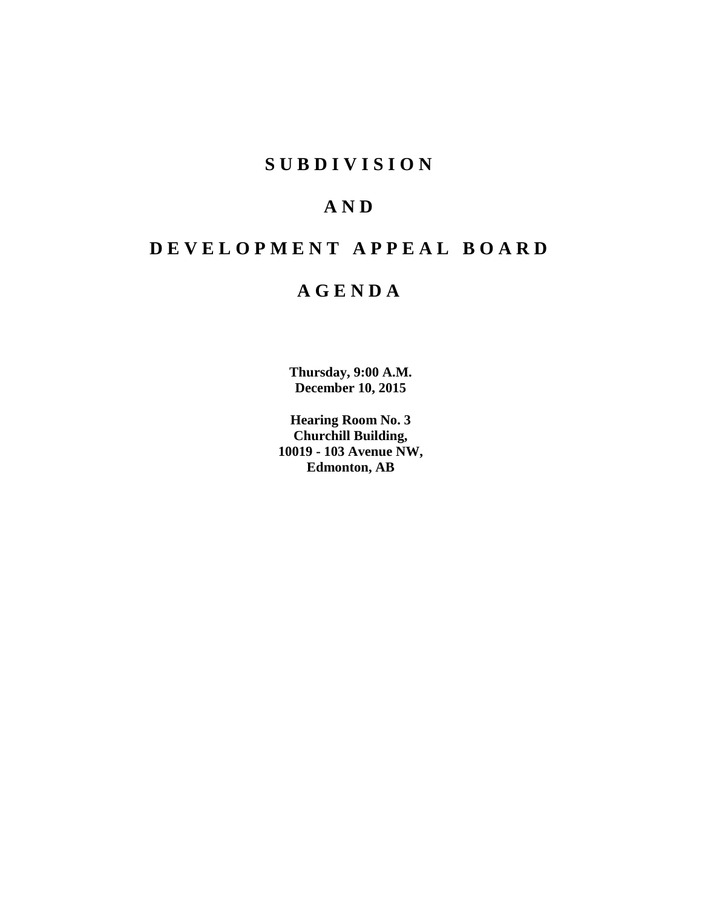# **SUBDIVISION**

# **AND**

# **DEVELOPMENT APPEAL BOARD**

# **AGENDA**

**Thursday, 9:00 A.M. December 10, 2015**

**Hearing Room No. 3 Churchill Building, 10019 - 103 Avenue NW, Edmonton, AB**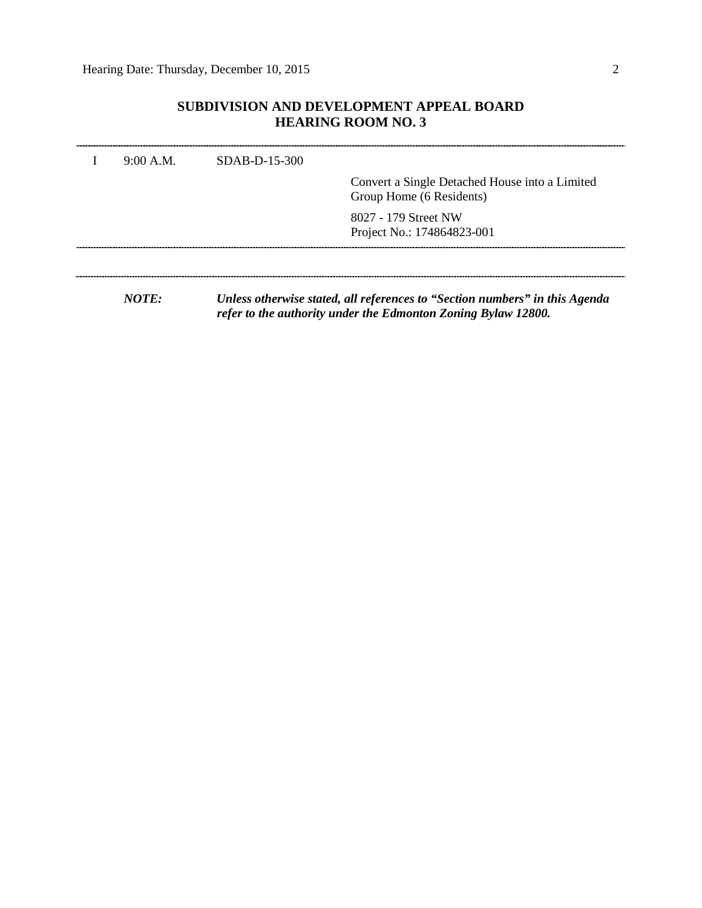## **SUBDIVISION AND DEVELOPMENT APPEAL BOARD HEARING ROOM NO. 3**

| 9:00 A.M.                    | $SDAB-D-15-300$ | Convert a Single Detached House into a Limited<br>Group Home (6 Residents)         |
|------------------------------|-----------------|------------------------------------------------------------------------------------|
|                              |                 | 8027 - 179 Street NW<br>Project No.: 174864823-001                                 |
|                              |                 |                                                                                    |
| $M\Omega T\mathbf{\Gamma}$ . |                 | Unless otherwise stated, all references to <i>(Costion numbers)</i> in this Agenda |

*NOTE: Unless otherwise stated, all references to "Section numbers" in this Agenda refer to the authority under the Edmonton Zoning Bylaw 12800.*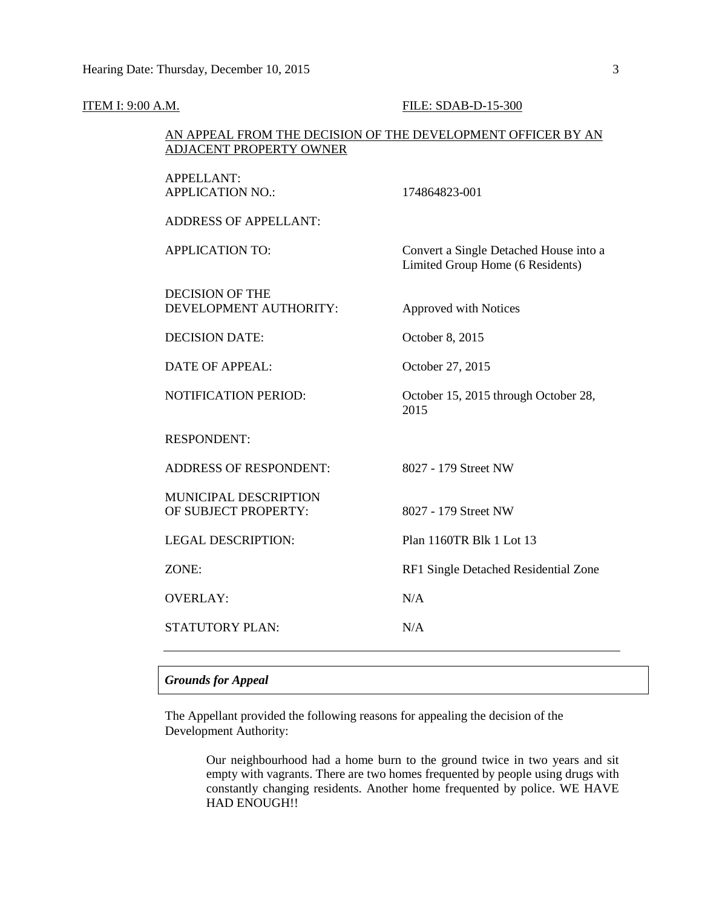| <b>ITEM I: 9:00 A.M.</b> |                                                                                                | FILE: SDAB-D-15-300                                                        |
|--------------------------|------------------------------------------------------------------------------------------------|----------------------------------------------------------------------------|
|                          | AN APPEAL FROM THE DECISION OF THE DEVELOPMENT OFFICER BY AN<br><b>ADJACENT PROPERTY OWNER</b> |                                                                            |
|                          | <b>APPELLANT:</b><br><b>APPLICATION NO.:</b>                                                   | 174864823-001                                                              |
|                          | <b>ADDRESS OF APPELLANT:</b>                                                                   |                                                                            |
|                          | <b>APPLICATION TO:</b>                                                                         | Convert a Single Detached House into a<br>Limited Group Home (6 Residents) |
|                          | <b>DECISION OF THE</b><br>DEVELOPMENT AUTHORITY:                                               | Approved with Notices                                                      |
|                          | <b>DECISION DATE:</b>                                                                          | October 8, 2015                                                            |
|                          | <b>DATE OF APPEAL:</b>                                                                         | October 27, 2015                                                           |
|                          | NOTIFICATION PERIOD:                                                                           | October 15, 2015 through October 28,<br>2015                               |
|                          | <b>RESPONDENT:</b>                                                                             |                                                                            |
|                          | <b>ADDRESS OF RESPONDENT:</b>                                                                  | 8027 - 179 Street NW                                                       |
|                          | MUNICIPAL DESCRIPTION<br>OF SUBJECT PROPERTY:                                                  | 8027 - 179 Street NW                                                       |
|                          | <b>LEGAL DESCRIPTION:</b>                                                                      | Plan 1160TR Blk 1 Lot 13                                                   |
|                          | ZONE:                                                                                          | RF1 Single Detached Residential Zone                                       |
|                          | <b>OVERLAY:</b>                                                                                | N/A                                                                        |
|                          | <b>STATUTORY PLAN:</b>                                                                         | N/A                                                                        |

### *Grounds for Appeal*

The Appellant provided the following reasons for appealing the decision of the Development Authority:

> Our neighbourhood had a home burn to the ground twice in two years and sit empty with vagrants. There are two homes frequented by people using drugs with constantly changing residents. Another home frequented by police. WE HAVE HAD ENOUGH!!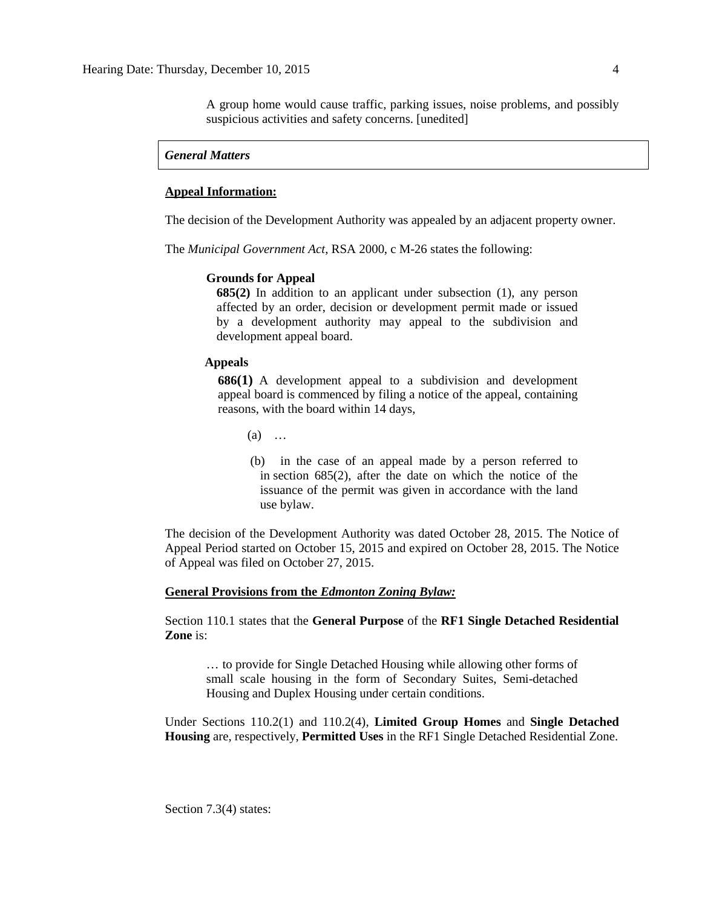A group home would cause traffic, parking issues, noise problems, and possibly suspicious activities and safety concerns. [unedited]

#### *General Matters*

#### **Appeal Information:**

The decision of the Development Authority was appealed by an adjacent property owner.

The *Municipal Government Act*, RSA 2000, c M-26 states the following:

#### **Grounds for Appeal**

**685(2)** In addition to an applicant under subsection (1), any person affected by an order, decision or development permit made or issued by a development authority may appeal to the subdivision and development appeal board.

#### **Appeals**

**686(1)** A development appeal to a subdivision and development appeal board is commenced by filing a notice of the appeal, containing reasons, with the board within 14 days,

(a) …

 (b) in the case of an appeal made by a person referred to in section 685(2), after the date on which the notice of the issuance of the permit was given in accordance with the land use bylaw.

The decision of the Development Authority was dated October 28, 2015. The Notice of Appeal Period started on October 15, 2015 and expired on October 28, 2015. The Notice of Appeal was filed on October 27, 2015.

#### **General Provisions from the** *Edmonton Zoning Bylaw:*

Section 110.1 states that the **General Purpose** of the **RF1 Single Detached Residential Zone** is:

… to provide for Single Detached Housing while allowing other forms of small scale housing in the form of Secondary Suites, Semi-detached Housing and Duplex Housing under certain conditions.

Under Sections 110.2(1) and 110.2(4), **Limited Group Homes** and **Single Detached Housing** are, respectively, **Permitted Uses** in the RF1 Single Detached Residential Zone.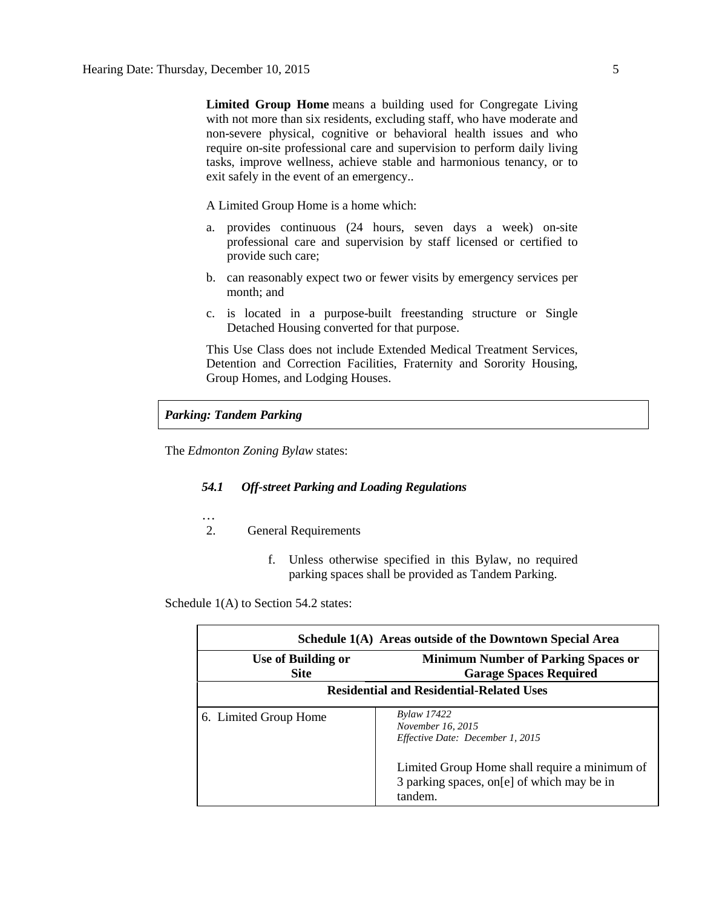**Limited Group Home** means a building used for Congregate Living with not more than six residents, excluding staff, who have moderate and non-severe physical, cognitive or behavioral health issues and who require on-site professional care and supervision to perform daily living tasks, improve wellness, achieve stable and harmonious tenancy, or to exit safely in the event of an emergency..

A Limited Group Home is a home which:

- a. provides continuous (24 hours, seven days a week) on-site professional care and supervision by staff licensed or certified to provide such care;
- b. can reasonably expect two or fewer visits by emergency services per month; and
- c. is located in a purpose-built freestanding structure or Single Detached Housing converted for that purpose.

This Use Class does not include Extended Medical Treatment Services, Detention and Correction Facilities, Fraternity and Sorority Housing, Group Homes, and Lodging Houses.

### *Parking: Tandem Parking*

The *Edmonton Zoning Bylaw* states:

#### *54.1 Off-street Parking and Loading Regulations*

- …
- 2. General Requirements
	- f. Unless otherwise specified in this Bylaw, no required parking spaces shall be provided as Tandem Parking.

Schedule 1(A) to Section 54.2 states:

| Schedule 1(A) Areas outside of the Downtown Special Area |                                                                                                         |  |
|----------------------------------------------------------|---------------------------------------------------------------------------------------------------------|--|
| <b>Use of Building or</b><br><b>Site</b>                 | <b>Minimum Number of Parking Spaces or</b><br><b>Garage Spaces Required</b>                             |  |
| <b>Residential and Residential-Related Uses</b>          |                                                                                                         |  |
| 6. Limited Group Home                                    | <b>Bylaw 17422</b><br>November 16, 2015<br>Effective Date: December 1, 2015                             |  |
|                                                          | Limited Group Home shall require a minimum of<br>3 parking spaces, on [e] of which may be in<br>tandem. |  |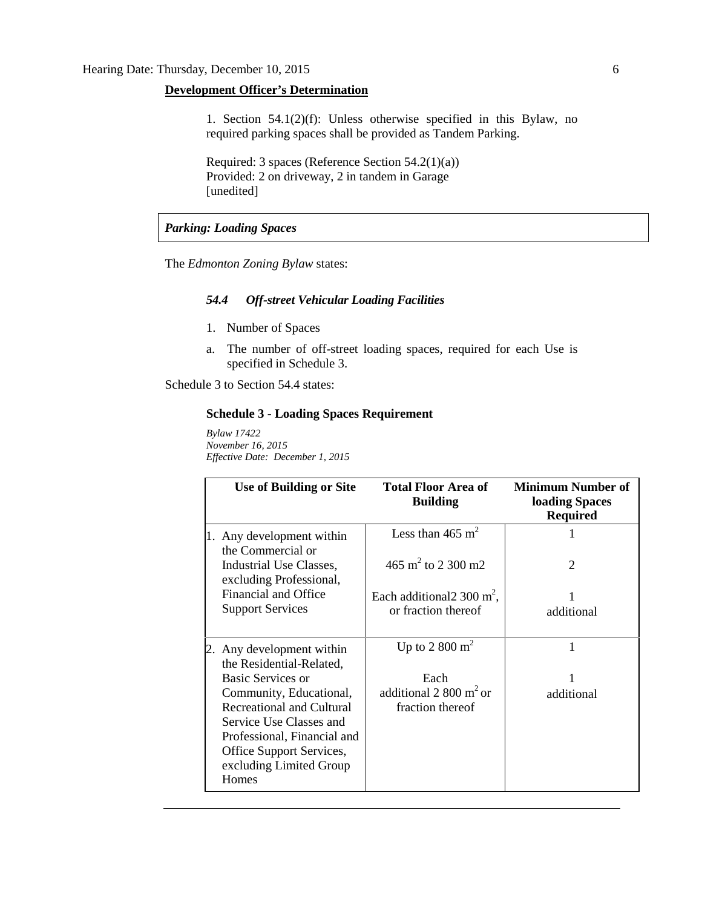## **Development Officer's Determination**

1. Section 54.1(2)(f): Unless otherwise specified in this Bylaw, no required parking spaces shall be provided as Tandem Parking.

Required: 3 spaces (Reference Section 54.2(1)(a)) Provided: 2 on driveway, 2 in tandem in Garage [unedited]

### *Parking: Loading Spaces*

The *Edmonton Zoning Bylaw* states:

#### *54.4 Off-street Vehicular Loading Facilities*

- 1. Number of Spaces
- a. The number of off-street loading spaces, required for each Use is specified in Schedule 3.

Schedule 3 to Section 54.4 states:

## **Schedule 3 - Loading Spaces Requirement**

*Bylaw 17422 November 16, 2015 Effective Date: December 1, 2015*

| Use of Building or Site                               | <b>Total Floor Area of</b><br><b>Building</b> | <b>Minimum Number of</b><br><b>loading Spaces</b><br><b>Required</b> |
|-------------------------------------------------------|-----------------------------------------------|----------------------------------------------------------------------|
| 1. Any development within<br>the Commercial or        | Less than 465 $m2$                            |                                                                      |
| Industrial Use Classes,<br>excluding Professional,    | 465 m <sup>2</sup> to 2 300 m2                | $\mathcal{D}_{\mathcal{L}}$                                          |
| <b>Financial and Office</b>                           | Each additional $2300 \text{ m}^2$ ,          |                                                                      |
| <b>Support Services</b>                               | or fraction thereof                           | additional                                                           |
| 2. Any development within<br>the Residential-Related, | Up to 2 800 $m2$                              | 1                                                                    |
| Basic Services or                                     | Each                                          |                                                                      |
| Community, Educational,                               | additional $2800 \text{ m}^2$ or              | additional                                                           |
| <b>Recreational and Cultural</b>                      | fraction thereof                              |                                                                      |
| Service Use Classes and                               |                                               |                                                                      |
| Professional, Financial and                           |                                               |                                                                      |
| Office Support Services,                              |                                               |                                                                      |
| excluding Limited Group                               |                                               |                                                                      |
| Homes                                                 |                                               |                                                                      |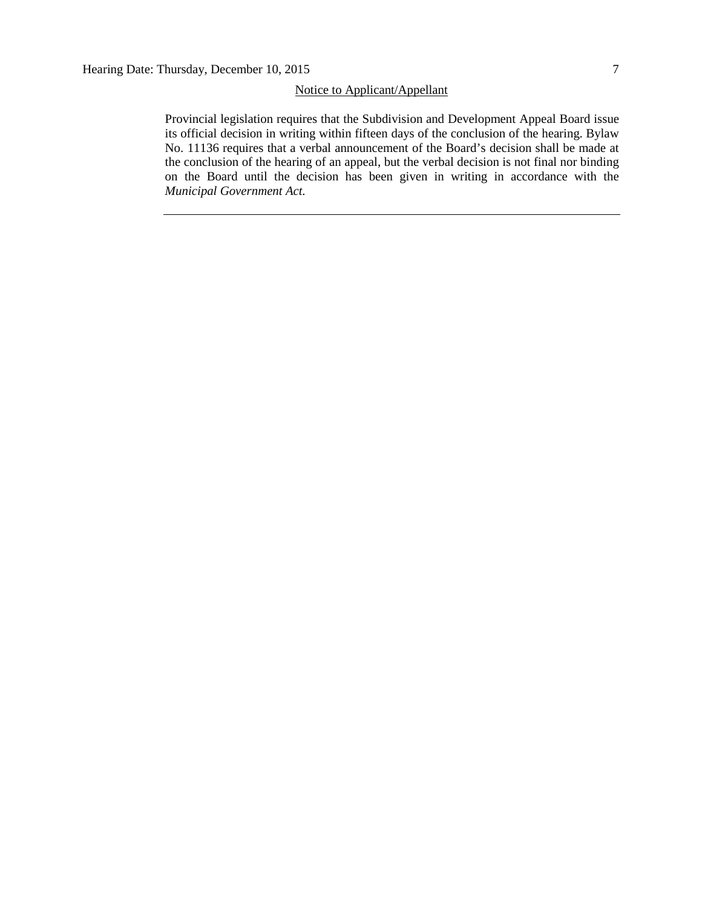## Notice to Applicant/Appellant

Provincial legislation requires that the Subdivision and Development Appeal Board issue its official decision in writing within fifteen days of the conclusion of the hearing. Bylaw No. 11136 requires that a verbal announcement of the Board's decision shall be made at the conclusion of the hearing of an appeal, but the verbal decision is not final nor binding on the Board until the decision has been given in writing in accordance with the *Municipal Government Act.*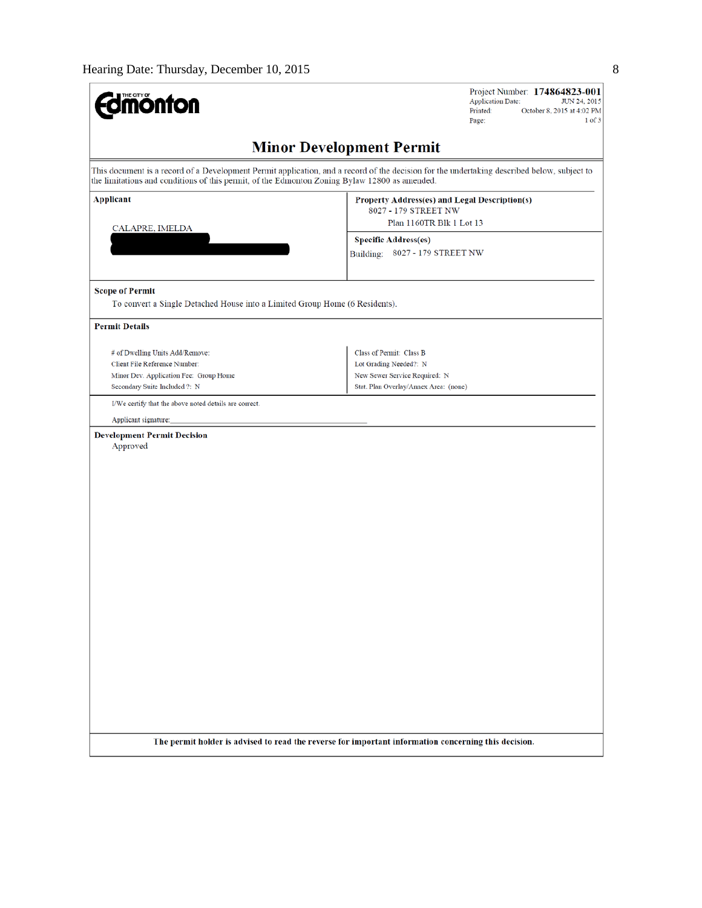| <b>Umónfon</b>                                                                                        | Project Number: 174864823-001<br><b>Application Date:</b><br>JUN 24, 2015<br>Printed:<br>October 8, 2015 at 4:02 PM<br>$1$ of $3$<br>Page:  |  |  |  |
|-------------------------------------------------------------------------------------------------------|---------------------------------------------------------------------------------------------------------------------------------------------|--|--|--|
| <b>Minor Development Permit</b>                                                                       |                                                                                                                                             |  |  |  |
| the limitations and conditions of this permit, of the Edmonton Zoning Bylaw 12800 as amended.         | This document is a record of a Development Permit application, and a record of the decision for the undertaking described below, subject to |  |  |  |
| <b>Applicant</b>                                                                                      | Property Address(es) and Legal Description(s)<br>8027 - 179 STREET NW                                                                       |  |  |  |
| CALAPRE, IMELDA                                                                                       | Plan 1160TR Blk 1 Lot 13                                                                                                                    |  |  |  |
|                                                                                                       | <b>Specific Address(es)</b><br>Building: 8027 - 179 STREET NW                                                                               |  |  |  |
| <b>Scope of Permit</b><br>To convert a Single Detached House into a Limited Group Home (6 Residents). |                                                                                                                                             |  |  |  |
| <b>Permit Details</b>                                                                                 |                                                                                                                                             |  |  |  |
| # of Dwelling Units Add/Remove:                                                                       | Class of Permit: Class B                                                                                                                    |  |  |  |
| Client File Reference Number:                                                                         | Lot Grading Needed?: N                                                                                                                      |  |  |  |
| Minor Dev. Application Fee: Group Home<br>Secondary Suite Included ?: N                               | New Sewer Service Required: N<br>Stat. Plan Overlay/Annex Area: (none)                                                                      |  |  |  |
| I/We certify that the above noted details are correct.                                                |                                                                                                                                             |  |  |  |
| Applicant signature:                                                                                  |                                                                                                                                             |  |  |  |
| <b>Development Permit Decision</b><br>Approved                                                        |                                                                                                                                             |  |  |  |
|                                                                                                       | The permit holder is advised to read the reverse for important information concerning this decision.                                        |  |  |  |
|                                                                                                       |                                                                                                                                             |  |  |  |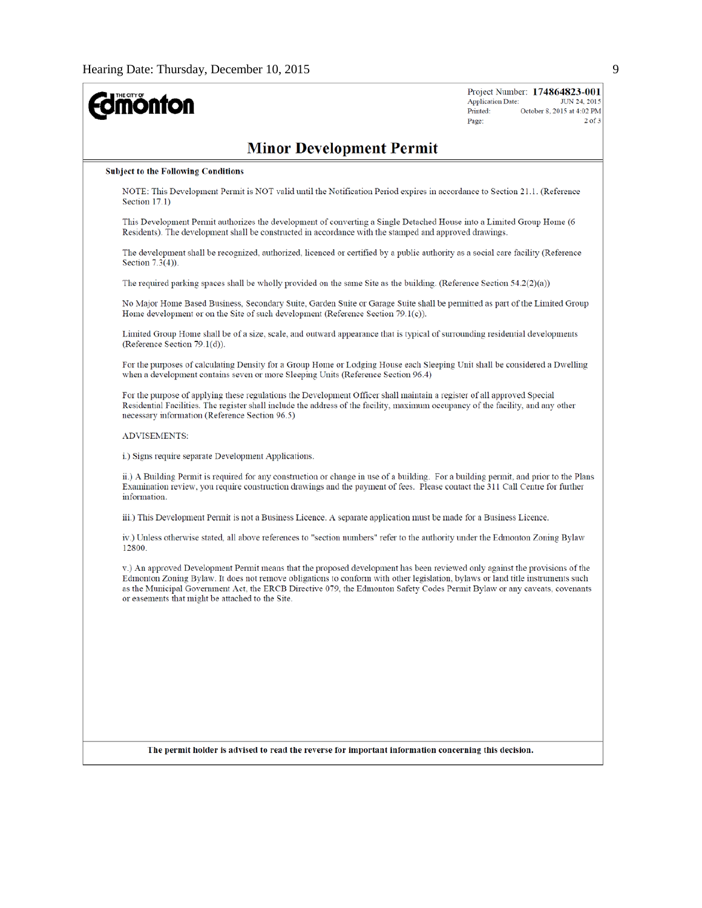| <b>mönton</b>                                                                                                                                                                                                                                                                                                                                                                                                                                  | Project Number: 174864823-001<br><b>Application Date:</b><br>JUN 24, 2015<br>Printed:<br>October 8, 2015 at 4:02 PM<br>$2$ of $3$<br>Page: |  |  |  |
|------------------------------------------------------------------------------------------------------------------------------------------------------------------------------------------------------------------------------------------------------------------------------------------------------------------------------------------------------------------------------------------------------------------------------------------------|--------------------------------------------------------------------------------------------------------------------------------------------|--|--|--|
| <b>Minor Development Permit</b>                                                                                                                                                                                                                                                                                                                                                                                                                |                                                                                                                                            |  |  |  |
| <b>Subject to the Following Conditions</b>                                                                                                                                                                                                                                                                                                                                                                                                     |                                                                                                                                            |  |  |  |
| NOTE: This Development Permit is NOT valid until the Notification Period expires in accordance to Section 21.1. (Reference<br>Section 17.1)                                                                                                                                                                                                                                                                                                    |                                                                                                                                            |  |  |  |
| This Development Permit authorizes the development of converting a Single Detached House into a Limited Group Home (6<br>Residents). The development shall be constructed in accordance with the stamped and approved drawings.                                                                                                                                                                                                                |                                                                                                                                            |  |  |  |
| The development shall be recognized, authorized, licenced or certified by a public authority as a social care facility (Reference<br>Section $7.3(4)$ ).                                                                                                                                                                                                                                                                                       |                                                                                                                                            |  |  |  |
| The required parking spaces shall be wholly provided on the same Site as the building. (Reference Section 54.2(2)(a))                                                                                                                                                                                                                                                                                                                          |                                                                                                                                            |  |  |  |
| No Major Home Based Business, Secondary Suite, Garden Suite or Garage Suite shall be permitted as part of the Limited Group<br>Home development or on the Site of such development (Reference Section 79.1(c)).                                                                                                                                                                                                                                |                                                                                                                                            |  |  |  |
| Limited Group Home shall be of a size, scale, and outward appearance that is typical of surrounding residential developments<br>(Reference Section 79.1(d)).                                                                                                                                                                                                                                                                                   |                                                                                                                                            |  |  |  |
| For the purposes of calculating Density for a Group Home or Lodging House each Sleeping Unit shall be considered a Dwelling<br>when a development contains seven or more Sleeping Units (Reference Section 96.4)                                                                                                                                                                                                                               |                                                                                                                                            |  |  |  |
| For the purpose of applying these regulations the Development Officer shall maintain a register of all approved Special<br>Residential Facilities. The register shall include the address of the facility, maximum occupancy of the facility, and any other<br>necessary information (Reference Section 96.5)                                                                                                                                  |                                                                                                                                            |  |  |  |
| <b>ADVISEMENTS:</b>                                                                                                                                                                                                                                                                                                                                                                                                                            |                                                                                                                                            |  |  |  |
| i.) Signs require separate Development Applications.                                                                                                                                                                                                                                                                                                                                                                                           |                                                                                                                                            |  |  |  |
| ii.) A Building Permit is required for any construction or change in use of a building. For a building permit, and prior to the Plans<br>Examination review, you require construction drawings and the payment of fees. Please contact the 311 Call Centre for further<br>information.                                                                                                                                                         |                                                                                                                                            |  |  |  |
| iii.) This Development Permit is not a Business Licence. A separate application must be made for a Business Licence.                                                                                                                                                                                                                                                                                                                           |                                                                                                                                            |  |  |  |
| iv.) Unless otherwise stated, all above references to "section numbers" refer to the authority under the Edmonton Zoning Bylaw<br>12800                                                                                                                                                                                                                                                                                                        |                                                                                                                                            |  |  |  |
| v.) An approved Development Permit means that the proposed development has been reviewed only against the provisions of the<br>Edmonton Zoning Bylaw. It does not remove obligations to conform with other legislation, bylaws or land title instruments such<br>as the Municipal Government Act, the ERCB Directive 079, the Edmonton Safety Codes Permit Bylaw or any caveats, covenants<br>or easements that might be attached to the Site. |                                                                                                                                            |  |  |  |
|                                                                                                                                                                                                                                                                                                                                                                                                                                                |                                                                                                                                            |  |  |  |
|                                                                                                                                                                                                                                                                                                                                                                                                                                                |                                                                                                                                            |  |  |  |
|                                                                                                                                                                                                                                                                                                                                                                                                                                                |                                                                                                                                            |  |  |  |
|                                                                                                                                                                                                                                                                                                                                                                                                                                                |                                                                                                                                            |  |  |  |
|                                                                                                                                                                                                                                                                                                                                                                                                                                                |                                                                                                                                            |  |  |  |
|                                                                                                                                                                                                                                                                                                                                                                                                                                                |                                                                                                                                            |  |  |  |
| The permit holder is advised to read the reverse for important information concerning this decision.                                                                                                                                                                                                                                                                                                                                           |                                                                                                                                            |  |  |  |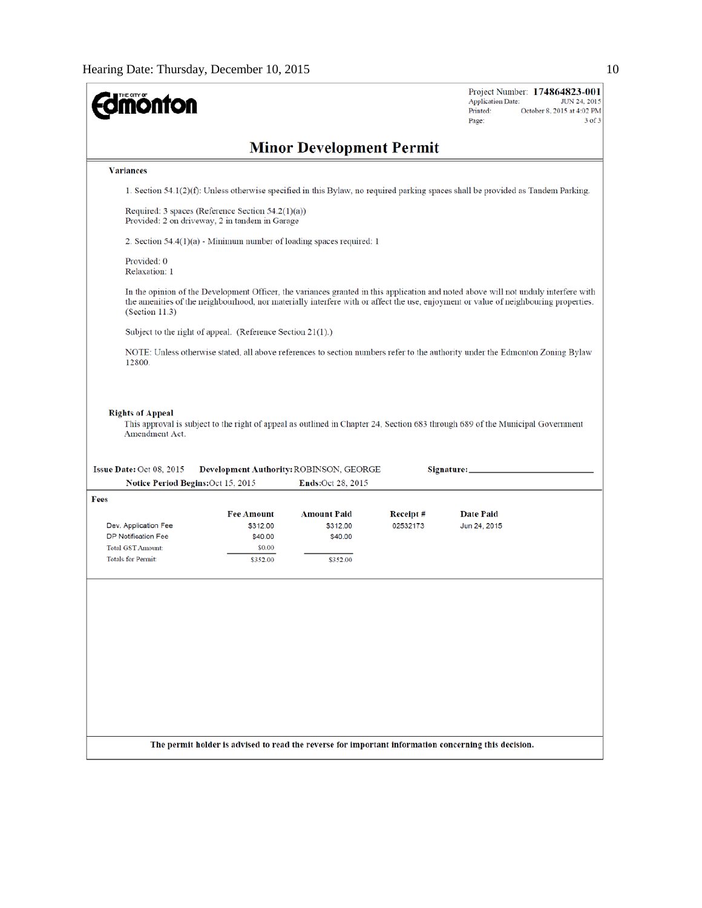| <b>Jmónton</b>                                                 |                                                                                                        |                                                                        |          | Project Number: 174864823-001<br><b>Application Date:</b><br>JUN 24, 2015<br>Printed:<br>October 8, 2015 at 4:02 PM<br>$3$ of $3$<br>Page:                                                                                                                                 |
|----------------------------------------------------------------|--------------------------------------------------------------------------------------------------------|------------------------------------------------------------------------|----------|----------------------------------------------------------------------------------------------------------------------------------------------------------------------------------------------------------------------------------------------------------------------------|
|                                                                |                                                                                                        | <b>Minor Development Permit</b>                                        |          |                                                                                                                                                                                                                                                                            |
| <b>Variances</b>                                               |                                                                                                        |                                                                        |          |                                                                                                                                                                                                                                                                            |
|                                                                |                                                                                                        |                                                                        |          | 1. Section $54.1(2)(f)$ : Unless otherwise specified in this Bylaw, no required parking spaces shall be provided as Tandem Parking.                                                                                                                                        |
|                                                                | Required: 3 spaces (Reference Section $54.2(1)(a)$ )<br>Provided: 2 on driveway, 2 in tandem in Garage |                                                                        |          |                                                                                                                                                                                                                                                                            |
|                                                                |                                                                                                        | 2. Section $54.4(1)(a)$ - Minimum number of loading spaces required: 1 |          |                                                                                                                                                                                                                                                                            |
| Provided: 0<br>Relaxation: 1                                   |                                                                                                        |                                                                        |          |                                                                                                                                                                                                                                                                            |
| (Section 11.3)                                                 |                                                                                                        |                                                                        |          | In the opinion of the Development Officer, the variances granted in this application and noted above will not unduly interfere with<br>the amenities of the neighbourhood, nor materially interfere with or affect the use, enjoyment or value of neighbouring properties. |
|                                                                | Subject to the right of appeal. (Reference Section 21(1).)                                             |                                                                        |          |                                                                                                                                                                                                                                                                            |
| 12800.                                                         |                                                                                                        |                                                                        |          | NOTE: Unless otherwise stated, all above references to section numbers refer to the authority under the Edmonton Zoning Bylaw                                                                                                                                              |
| Issue Date: Oct 08, 2015<br>Notice Period Begins: Oct 15, 2015 |                                                                                                        | Development Authority: ROBINSON, GEORGE<br><b>Ends:Oct 28, 2015</b>    |          | Signature:                                                                                                                                                                                                                                                                 |
| <b>Fees</b>                                                    |                                                                                                        |                                                                        |          |                                                                                                                                                                                                                                                                            |
|                                                                | <b>Fee Amount</b>                                                                                      | <b>Amount Paid</b>                                                     | Receipt# | <b>Date Paid</b>                                                                                                                                                                                                                                                           |
| Dev. Application Fee<br>DP Notification Fee                    | \$312.00<br>\$40.00                                                                                    | \$312.00<br>\$40.00                                                    | 02532173 | Jun 24, 2015                                                                                                                                                                                                                                                               |
| <b>Total GST Amount:</b>                                       | \$0.00                                                                                                 |                                                                        |          |                                                                                                                                                                                                                                                                            |
| Totals for Permit:                                             | \$352.00                                                                                               | \$352.00                                                               |          |                                                                                                                                                                                                                                                                            |
|                                                                |                                                                                                        |                                                                        |          |                                                                                                                                                                                                                                                                            |
|                                                                |                                                                                                        |                                                                        |          |                                                                                                                                                                                                                                                                            |
|                                                                |                                                                                                        |                                                                        |          |                                                                                                                                                                                                                                                                            |
|                                                                |                                                                                                        |                                                                        |          |                                                                                                                                                                                                                                                                            |
|                                                                |                                                                                                        |                                                                        |          |                                                                                                                                                                                                                                                                            |
|                                                                |                                                                                                        |                                                                        |          |                                                                                                                                                                                                                                                                            |
|                                                                |                                                                                                        |                                                                        |          |                                                                                                                                                                                                                                                                            |
|                                                                |                                                                                                        |                                                                        |          | The permit holder is advised to read the reverse for important information concerning this decision.                                                                                                                                                                       |
|                                                                |                                                                                                        |                                                                        |          |                                                                                                                                                                                                                                                                            |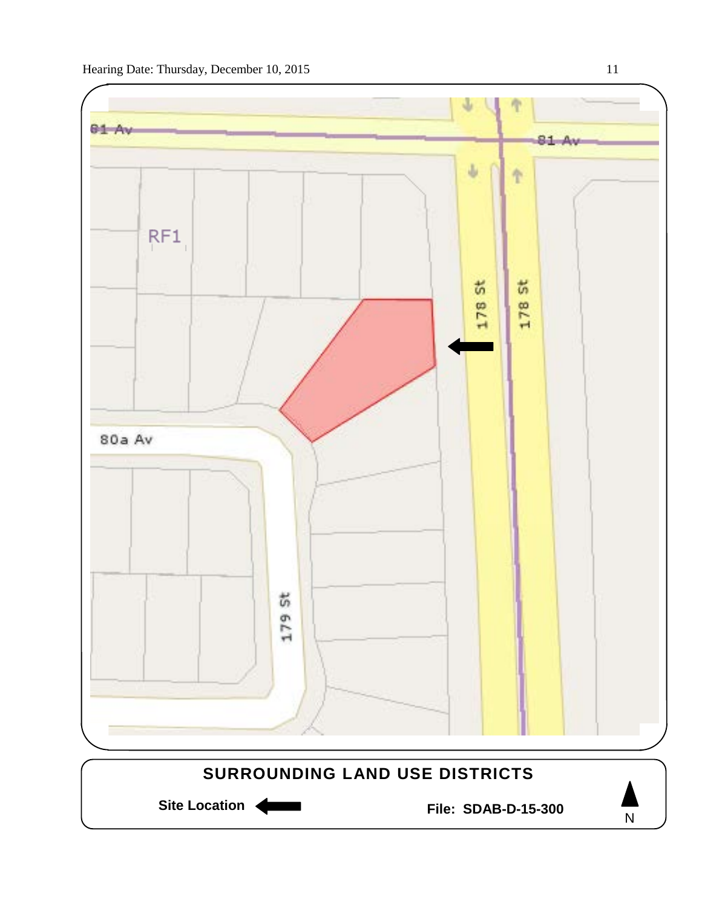

N

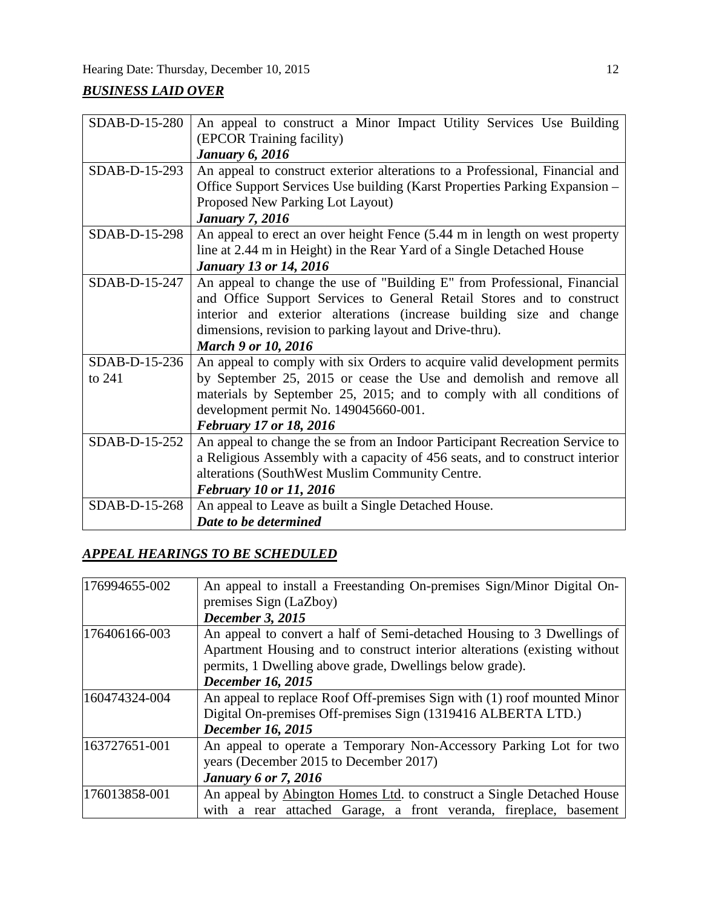## *BUSINESS LAID OVER*

| SDAB-D-15-280 | An appeal to construct a Minor Impact Utility Services Use Building<br>(EPCOR Training facility) |  |  |
|---------------|--------------------------------------------------------------------------------------------------|--|--|
|               | <b>January 6, 2016</b>                                                                           |  |  |
| SDAB-D-15-293 | An appeal to construct exterior alterations to a Professional, Financial and                     |  |  |
|               | Office Support Services Use building (Karst Properties Parking Expansion -                       |  |  |
|               | Proposed New Parking Lot Layout)                                                                 |  |  |
|               | <b>January 7, 2016</b>                                                                           |  |  |
| SDAB-D-15-298 | An appeal to erect an over height Fence (5.44 m in length on west property                       |  |  |
|               | line at 2.44 m in Height) in the Rear Yard of a Single Detached House                            |  |  |
|               | <b>January 13 or 14, 2016</b>                                                                    |  |  |
| SDAB-D-15-247 | An appeal to change the use of "Building E" from Professional, Financial                         |  |  |
|               | and Office Support Services to General Retail Stores and to construct                            |  |  |
|               | interior and exterior alterations (increase building size and change                             |  |  |
|               | dimensions, revision to parking layout and Drive-thru).                                          |  |  |
|               | <b>March 9 or 10, 2016</b>                                                                       |  |  |
| SDAB-D-15-236 | An appeal to comply with six Orders to acquire valid development permits                         |  |  |
| to 241        | by September 25, 2015 or cease the Use and demolish and remove all                               |  |  |
|               | materials by September 25, 2015; and to comply with all conditions of                            |  |  |
|               | development permit No. 149045660-001.                                                            |  |  |
|               | <b>February 17 or 18, 2016</b>                                                                   |  |  |
| SDAB-D-15-252 | An appeal to change the se from an Indoor Participant Recreation Service to                      |  |  |
|               | a Religious Assembly with a capacity of 456 seats, and to construct interior                     |  |  |
|               | alterations (SouthWest Muslim Community Centre.                                                  |  |  |
|               | <b>February 10 or 11, 2016</b>                                                                   |  |  |
| SDAB-D-15-268 | An appeal to Leave as built a Single Detached House.                                             |  |  |
|               | Date to be determined                                                                            |  |  |

## *APPEAL HEARINGS TO BE SCHEDULED*

| 176994655-002 | An appeal to install a Freestanding On-premises Sign/Minor Digital On-    |
|---------------|---------------------------------------------------------------------------|
|               | premises Sign (LaZboy)                                                    |
|               | <b>December 3, 2015</b>                                                   |
| 176406166-003 | An appeal to convert a half of Semi-detached Housing to 3 Dwellings of    |
|               | Apartment Housing and to construct interior alterations (existing without |
|               | permits, 1 Dwelling above grade, Dwellings below grade).                  |
|               | <b>December 16, 2015</b>                                                  |
| 160474324-004 | An appeal to replace Roof Off-premises Sign with (1) roof mounted Minor   |
|               | Digital On-premises Off-premises Sign (1319416 ALBERTA LTD.)              |
|               | <b>December 16, 2015</b>                                                  |
| 163727651-001 | An appeal to operate a Temporary Non-Accessory Parking Lot for two        |
|               | years (December 2015 to December 2017)                                    |
|               | <b>January 6 or 7, 2016</b>                                               |
| 176013858-001 | An appeal by Abington Homes Ltd. to construct a Single Detached House     |
|               | with a rear attached Garage, a front veranda, fireplace, basement         |